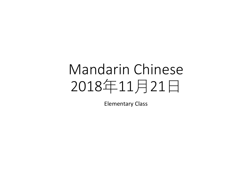# Mandarin Chinese 2018年11月21日

Elementary Class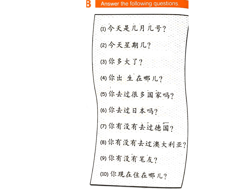Answer the following questions.

B

| (1)今天是几月几号?     |  |
|-----------------|--|
| (2)今天星期几?       |  |
| (3) 你多大了?       |  |
| (4) 你出生在哪儿?     |  |
| (5) 你去过很多国家吗?   |  |
| (6) 你去过日本吗?     |  |
| (7) 你有没有去过德国?   |  |
| (8) 你有没有去过澳大利亚? |  |
| (9) 你有没有笔友?     |  |
| (10)你现在住在哪儿?    |  |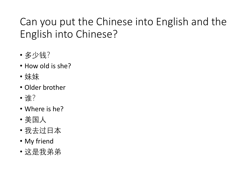## Can you put the Chinese into English and the English into Chinese?

- 多少钱?
- How old is she?
- 妹妹
- Older brother
- 谁?
- Where is he?
- 美国人
- 我去过日本
- My friend
- 这是我弟弟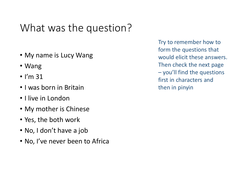### What was the question?

- My name is Lucy Wang
- Wang
- $\cdot$  I'm 31
- I was born in Britain
- I live in London
- My mother is Chinese
- Yes, the both work
- No, I don't have a job
- No, I've never been to Africa

Try to remember how to form the questions that would elicit these answers. Then check the next page – you'll find the questions first in characters and then in pinyin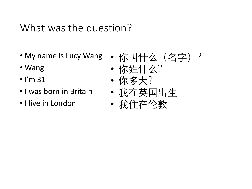### What was the question?

- My name is Lucy Wang
- Wang
- $\cdot$  I'm 31
- I was born in Britain
- I live in London
- 你叫什么(名字)?
- 你姓什么?
- 你多大?
- 我在英国出生
- 我住在伦敦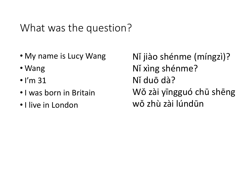### What was the question?

- My name is Lucy Wang
- Wang
- $\cdot$  I'm 31
- I was born in Britain
- I live in London

Nǐ jiào shénme (míngzì)? Nǐ xìng shénme? Nǐ duō dà? Wǒ zài yīngguó chū shēng wǒ zhù zài lúndūn